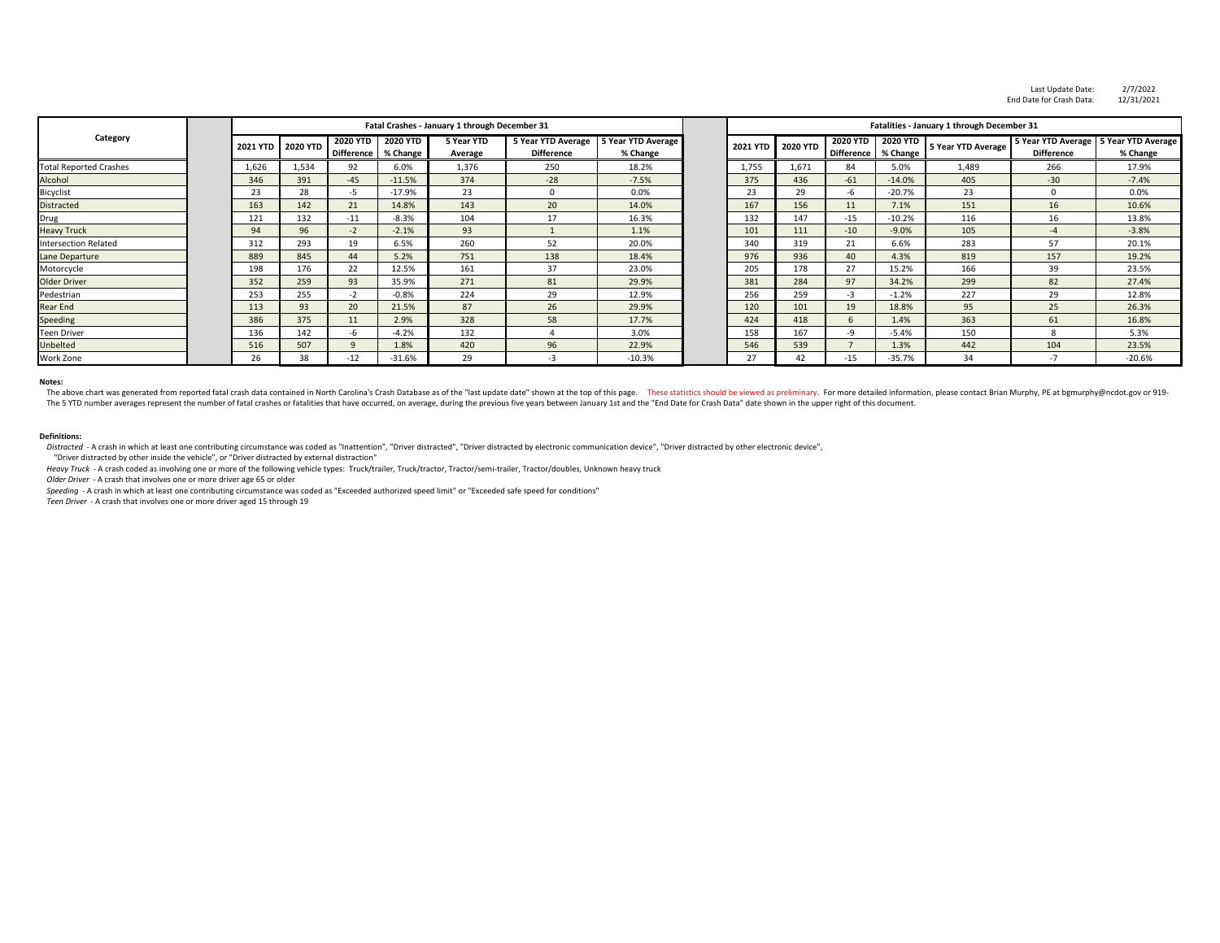Distracted - A crash in which at least one contributing circumstance was coded as "Inattention", "Driver distracted", "Driver distracted by electronic communication device", "Driver distracted by other electronic device", "Driver distracted by other inside the vehicle", or "Driver distracted by external distraction"

## **Notes:**

The above chart was generated from reported fatal crash data contained in North Carolina's Crash Database as of the "last update date" shown at the top of this page. These statistics should be viewed as preliminary. For mo The 5 YTD number averages represent the number of fatal crashes or fatalities that have occurred, on average, during the previous five years between January 1st and the "End Date for Crash Data" date shown in the upper rig

## **Definitions:**

|                               |       |                   |                                      |                                               |                       |                                                |                                |                                            |                 |                                      |                             |                           | Last Update Date:                                            | 2/7/2022   |
|-------------------------------|-------|-------------------|--------------------------------------|-----------------------------------------------|-----------------------|------------------------------------------------|--------------------------------|--------------------------------------------|-----------------|--------------------------------------|-----------------------------|---------------------------|--------------------------------------------------------------|------------|
|                               |       |                   |                                      |                                               |                       |                                                |                                |                                            |                 |                                      |                             |                           | End Date for Crash Data:                                     | 12/31/2021 |
| Category                      |       |                   |                                      | Fatal Crashes - January 1 through December 31 |                       |                                                |                                | Fatalities - January 1 through December 31 |                 |                                      |                             |                           |                                                              |            |
|                               |       | 2021 YTD 2020 YTD | <b>2020 YTD</b><br><b>Difference</b> | <b>2020 YTD</b><br>% Change                   | 5 Year YTD<br>Average | <b>5 Year YTD Average</b><br><b>Difference</b> | 5 Year YTD Average<br>% Change | <b>2021 YTD</b>                            | <b>2020 YTD</b> | <b>2020 YTD</b><br><b>Difference</b> | <b>2020 YTD</b><br>% Change | <b>5 Year YTD Average</b> | 5 Year YTD Average   5 Year YTD Average<br><b>Difference</b> | % Change   |
| <b>Total Reported Crashes</b> | 1,626 | 1,534             | 92                                   | 6.0%                                          | 1,376                 | 250                                            | 18.2%                          | 1,755                                      | 1,671           | 84                                   | 5.0%                        | 1,489                     | 266                                                          | 17.9%      |
| Alcohol                       | 346   | 391               | $-45$                                | $-11.5%$                                      | 374                   | $-28$                                          | $-7.5%$                        | 375                                        | 436             | $-61$                                | $-14.0%$                    | 405                       | $-30$                                                        | $-7.4%$    |
| Bicyclist                     | 23    | 28                | $-5$                                 | $-17.9%$                                      | 23                    | $\Omega$                                       | 0.0%                           | 23                                         | 29              | -6                                   | $-20.7%$                    | 23                        | $\Omega$                                                     | 0.0%       |
| <b>Distracted</b>             | 163   | 142               | 21                                   | 14.8%                                         | 143                   | 20                                             | 14.0%                          | 167                                        | 156             | 11                                   | 7.1%                        | 151                       | 16                                                           | 10.6%      |
| <b>Drug</b>                   | 121   | 132               | $-11$                                | $-8.3%$                                       | 104                   | 17                                             | 16.3%                          | 132                                        | 147             | $-15$                                | $-10.2%$                    | 116                       | 16                                                           | 13.8%      |
| <b>Heavy Truck</b>            | 94    | 96                | $-2$                                 | $-2.1%$                                       | 93                    |                                                | 1.1%                           | 101                                        | 111             | $-10$                                | $-9.0%$                     | 105                       | $-4$                                                         | $-3.8%$    |
| <b>Intersection Related</b>   | 312   | 293               | 19                                   | 6.5%                                          | 260                   | 52                                             | 20.0%                          | 340                                        | 319             | 21                                   | 6.6%                        | 283                       | 57                                                           | 20.1%      |
| Lane Departure                | 889   | 845               | 44                                   | 5.2%                                          | 751                   | 138                                            | 18.4%                          | 976                                        | 936             | 40                                   | 4.3%                        | 819                       | 157                                                          | 19.2%      |
| Motorcycle                    | 198   | 176               | 22                                   | 12.5%                                         | 161                   | 37                                             | 23.0%                          | 205                                        | 178             | 27                                   | 15.2%                       | 166                       | 39                                                           | 23.5%      |
| <b>Older Driver</b>           | 352   | 259               | 93                                   | 35.9%                                         | 271                   | 81                                             | 29.9%                          | 381                                        | 284             | 97                                   | 34.2%                       | 299                       | 82                                                           | 27.4%      |
| Pedestrian                    | 253   | 255               | $-2$                                 | $-0.8%$                                       | 224                   | 29                                             | 12.9%                          | 256                                        | 259             | $-3$                                 | $-1.2%$                     | 227                       | 29                                                           | 12.8%      |
| <b>Rear End</b>               | 113   | 93                | 20                                   | 21.5%                                         | 87                    | 26                                             | 29.9%                          | 120                                        | 101             | 19                                   | 18.8%                       | 95                        | 25                                                           | 26.3%      |
| Speeding                      | 386   | 375               | 11                                   | 2.9%                                          | 328                   | 58                                             | 17.7%                          | 424                                        | 418             | 6                                    | 1.4%                        | 363                       | 61                                                           | 16.8%      |
| <b>Teen Driver</b>            | 136   | 142               | -6                                   | $-4.2%$                                       | 132                   |                                                | 3.0%                           | 158                                        | 167             | -9                                   | $-5.4%$                     | 150                       | 8                                                            | 5.3%       |
| Unbelted                      | 516   | 507               | $\Omega$                             | 1.8%                                          | 420                   | 96                                             | 22.9%                          | 546                                        | 539             | $\overline{\phantom{a}}$             | 1.3%                        | 442                       | 104                                                          | 23.5%      |
| Work Zone                     | 26    | 38                | $-12$                                | $-31.6%$                                      | 29                    | $-3$                                           | $-10.3%$                       | 27                                         | 42              | $-15$                                | $-35.7%$                    | 34                        | $-7$                                                         | $-20.6%$   |

*Heavy Truck* - A crash coded as involving one or more of the following vehicle types: Truck/trailer, Truck/tractor, Tractor/semi-trailer, Tractor/doubles, Unknown heavy truck *Older Driver* - A crash that involves one or more driver age 65 or older

*Speeding* - A crash in which at least one contributing circumstance was coded as "Exceeded authorized speed limit" or "Exceeded safe speed for conditions"

*Teen Driver* - A crash that involves one or more driver aged 15 through 19